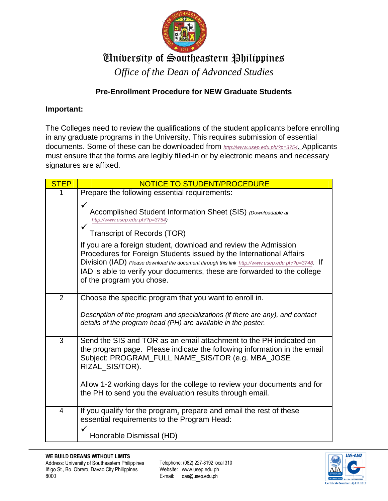

## University of Southeastern Philippines

*Office of the Dean of Advanced Studies*

## **Pre-Enrollment Procedure for NEW Graduate Students**

## **Important:**

The Colleges need to review the qualifications of the student applicants before enrolling in any graduate programs in the University. This requires submission of essential documents. Some of these can be downloaded from *<http://www.usep.edu.ph/?p=3754>*. Applicants must ensure that the forms are legibly filled-in or by electronic means and necessary signatures are affixed.

| <b>STEP</b>    | NOTICE TO STUDENT/PROCEDURE                                                                                                                                                                                                                                                                                                                         |
|----------------|-----------------------------------------------------------------------------------------------------------------------------------------------------------------------------------------------------------------------------------------------------------------------------------------------------------------------------------------------------|
|                | Prepare the following essential requirements:                                                                                                                                                                                                                                                                                                       |
|                | ✓<br>Accomplished Student Information Sheet (SIS) (Downloadable at<br>http://www.usep.edu.ph/?p=3754)<br><b>Transcript of Records (TOR)</b>                                                                                                                                                                                                         |
|                | If you are a foreign student, download and review the Admission<br>Procedures for Foreign Students issued by the International Affairs<br>Division (IAD) Please download the document through this link http://www.usep.edu.ph/?p=3748. If<br>IAD is able to verify your documents, these are forwarded to the college<br>of the program you chose. |
| $\overline{2}$ | Choose the specific program that you want to enroll in.                                                                                                                                                                                                                                                                                             |
|                | Description of the program and specializations (if there are any), and contact<br>details of the program head (PH) are available in the poster.                                                                                                                                                                                                     |
| 3              | Send the SIS and TOR as an email attachment to the PH indicated on<br>the program page. Please indicate the following information in the email<br>Subject: PROGRAM_FULL NAME_SIS/TOR (e.g. MBA_JOSE<br>RIZAL_SIS/TOR).                                                                                                                              |
|                | Allow 1-2 working days for the college to review your documents and for<br>the PH to send you the evaluation results through email.                                                                                                                                                                                                                 |
| $\overline{4}$ | If you qualify for the program, prepare and email the rest of these<br>essential requirements to the Program Head:                                                                                                                                                                                                                                  |
|                | Honorable Dismissal (HD)                                                                                                                                                                                                                                                                                                                            |

Telephone: (082) 227-8192 local 310 Website: www.usep.edu.ph E-mail: oas@usep.edu.ph

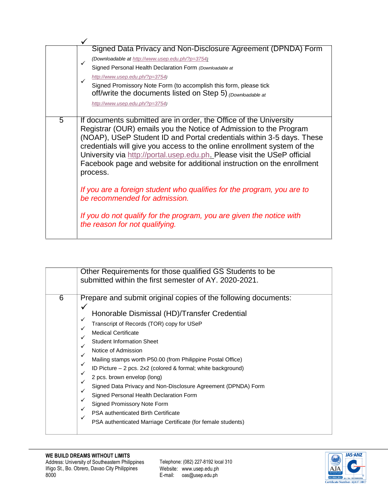|                | Signed Data Privacy and Non-Disclosure Agreement (DPNDA) Form                                                                                                                                                                                                                                                                                                                                                                                                                                                                                                                                                                                                                     |
|----------------|-----------------------------------------------------------------------------------------------------------------------------------------------------------------------------------------------------------------------------------------------------------------------------------------------------------------------------------------------------------------------------------------------------------------------------------------------------------------------------------------------------------------------------------------------------------------------------------------------------------------------------------------------------------------------------------|
|                | (Downloadable at http://www.usep.edu.ph/?p=3754)<br>$\checkmark$                                                                                                                                                                                                                                                                                                                                                                                                                                                                                                                                                                                                                  |
|                | Signed Personal Health Declaration Form (Downloadable at                                                                                                                                                                                                                                                                                                                                                                                                                                                                                                                                                                                                                          |
|                | http://www.usep.edu.ph/?p=3754)                                                                                                                                                                                                                                                                                                                                                                                                                                                                                                                                                                                                                                                   |
|                | Signed Promissory Note Form (to accomplish this form, please tick<br>off/write the documents listed on Step 5) (Downloadable at                                                                                                                                                                                                                                                                                                                                                                                                                                                                                                                                                   |
|                | http://www.usep.edu.ph/?p=3754)                                                                                                                                                                                                                                                                                                                                                                                                                                                                                                                                                                                                                                                   |
| $\overline{5}$ | If documents submitted are in order, the Office of the University<br>Registrar (OUR) emails you the Notice of Admission to the Program<br>(NOAP), USeP Student ID and Portal credentials within 3-5 days. These<br>credentials will give you access to the online enrollment system of the<br>University via http://portal.usep.edu.ph. Please visit the USeP official<br>Facebook page and website for additional instruction on the enrollment<br>process.<br>If you are a foreign student who qualifies for the program, you are to<br>be recommended for admission.<br>If you do not qualify for the program, you are given the notice with<br>the reason for not qualifying. |

|   | Other Requirements for those qualified GS Students to be<br>submitted within the first semester of AY, 2020-2021.                                                                                                                                                                                                                                                                                                                                                                                                                                                                                                                                                                                                                         |
|---|-------------------------------------------------------------------------------------------------------------------------------------------------------------------------------------------------------------------------------------------------------------------------------------------------------------------------------------------------------------------------------------------------------------------------------------------------------------------------------------------------------------------------------------------------------------------------------------------------------------------------------------------------------------------------------------------------------------------------------------------|
| 6 | Prepare and submit original copies of the following documents:<br>✓<br>Honorable Dismissal (HD)/Transfer Credential<br>✓<br>Transcript of Records (TOR) copy for USeP<br>$\checkmark$<br><b>Medical Certificate</b><br><b>Student Information Sheet</b><br>✓<br>Notice of Admission<br>$\checkmark$<br>Mailing stamps worth P50.00 (from Philippine Postal Office)<br>$\checkmark$<br>ID Picture $-2$ pcs. 2x2 (colored & formal; white background)<br>✓<br>2 pcs. brown envelop (long)<br>Signed Data Privacy and Non-Disclosure Agreement (DPNDA) Form<br>Signed Personal Health Declaration Form<br>Signed Promissory Note Form<br>PSA authenticated Birth Certificate<br>PSA authenticated Marriage Certificate (for female students) |

Telephone: (082) 227-8192 local 310 Website: www.usep.edu.ph E-mail: oas@usep.edu.ph